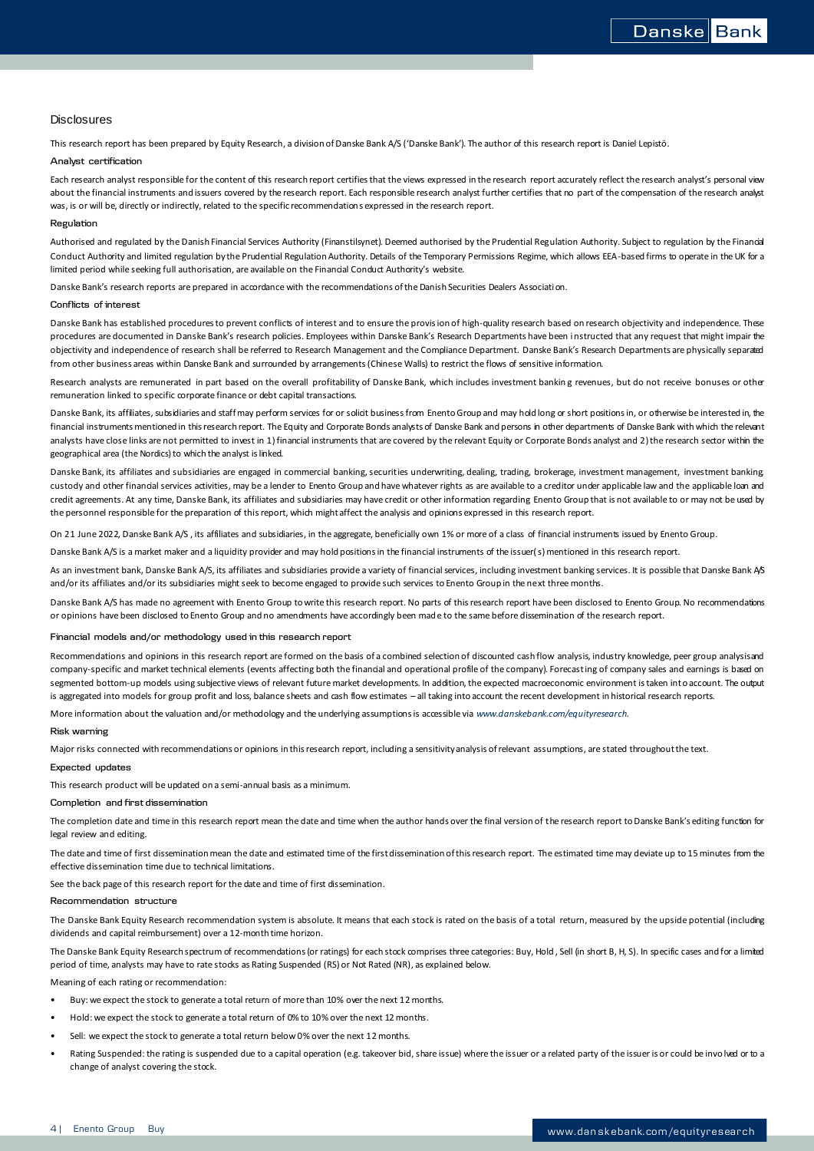## **Disclosures**

This research report has been prepared by Equity Research, a division of Danske Bank A/S ('Danske Bank'). The author of this research report is Daniel Lepistö.

## **Analyst certification**

Each research analyst responsible for the content of this research report certifies that the views expressed in the research report accurately reflect the research analyst's personal view about the financial instruments and issuers covered by the research report. Each responsible research analyst further certifies that no part of the compensation of the research analyst was, is or will be, directly or indirectly, related to the specific recommendations expressed in the research report.

#### **Regulation**

Authorised and regulated by the Danish Financial Services Authority (Finanstilsynet). Deemed authorised by the Prudential Regulation Authority. Subject to regulation by the Financial Conduct Authority and limited regulation by the Prudential Regulation Authority. Details of the Temporary Permissions Regime, which allows EEA-based firms to operate in the UK for a limited period while seeking full authorisation, are available on the Financial Conduct Authority's website.

Danske Bank's research reports are prepared in accordance with the recommendations of the Danish Securities Dealers Association.

## **Conflicts of interest**

Danske Bank has established procedures to prevent conflicts of interest and to ensure the provision of high-quality research based on research objectivity and independence. These procedures are documented in Danske Bank's research policies. Employees within Danske Bank's Research Departments have been instructed that any request that might impair the objectivity and independence of research shall be referred to Research Management and the Compliance Department. Danske Bank's Research Departments are physically separated from other business areas within Danske Bank and surrounded by arrangements (Chinese Walls) to restrict the flows of sensitive information.

Research analysts are remunerated in part based on the overall profitability of Danske Bank, which includes investment banking revenues, but do not receive bonuses or other remuneration linked to specific corporate finance or debt capital transactions.

Danske Bank, its affliates, subsidiaries and staff may perform services for or solicit business from Enento Group and may hold long or short positions in, or otherwise be interested in, the financial instruments mentioned in this research report. The Equity and Corporate Bonds analysts of Danske Bank and persons in other departments of Danske Bank with which the relevant analysts have close links are not permitted to invest in 1) financial instruments that are covered by the relevant Equity or Corporate Bonds analyst and 2) the research sector within the geographical area (the Nordics) to which the analyst is linked.

Danske Bank, its affiliates and subsidiaries are engaged in commercial banking, securities underwriting, dealing, trading, brokerage, investment management, investment banking custody and other financial services activities, may be a lender to Enento Group and have whatever rights as are available to a creditor under applicable law and the applicable loan and credit agreements. At any time, Danske Bank, its affiliates and subsidiaries may have credit or other information regarding Enento Group that is not available to or may not be used by the personnel responsible for the preparation of this report, which might affect the analysis and opinions expressed in this research report.

On 21 June 2022, Danske Bank A/S , its affiliates and subsidiaries, in the aggregate, beneficially own 1% or more of a class of financial instruments issued by Enento Group.

Danske Bank A/S is a market maker and a liquidity provider and may hold positions in the financial instruments of the issuer(s) mentioned in this research report.

As an investment bank, Danske Bank A/S, its affiliates and subsidiaries provide a variety of financial services, including investment banking services. It is possible that Danske Bank A/S and/or its affiliates and/or its subsidiaries might seek to become engaged to provide such services to Enento Group in the next three months.

Danske Bank A/S has made no agreement with Enento Group to write this research report. No parts of this research report have been disclosed to Enento Group. No recommendations or opinions have been disclosed to Enento Group and no amendments have accordingly been made to the same before dissemination of the research report.

#### **Financial models and/or methodology used in this research report**

Recommendations and opinions in this research report are formed on the basis of a combined selection of discounted cash flow analysis, industry knowledge, peer group analysis and company-specific and market technical elements (events affecting both the financial and operational profile of the company). Forecasting of company sales and earnings is based on segmented bottom-up models using subjective views of relevant future market developments. In addition, the expected macroeconomic environment is taken into account. The output is aggregated into models for group profit and loss, balance sheets and cash flow estimates – all taking into account the recent development in historical research reports.

More information about the valuation and/or methodology and the underlying assumptions is accessible via *[www.danskebank.com/equityresearch](http://www.danskebank.com/equityresearch)*.

### **Risk warning**

Major risks connected with recommendations or opinions in this research report, including a sensitivity analysis of relevant assumptions, are stated throughout the text.

## **Expected updates**

This research product will be updated on a semi-annual basis as a minimum.

### **Completion and first dissemination**

The completion date and time in this research report mean the date and time when the author hands over the final version of the research report to Danske Bank's editing function for legal review and editing.

The date and time of first dissemination mean the date and estimated time of the first dissemination of this research report. The estimated time may deviate up to 15 minutes from the effective dissemination time due to technical limitations.

See the back page of this research report for the date and time of first dissemination.

#### **Recommendation structure**

The Danske Bank Equity Research recommendation system is absolute. It means that each stock is rated on the basis of a total return, measured by the upside potential (including dividends and capital reimbursement) over a 12-month time horizon.

The Danske Bank Equity Research spectrum of recommendations (or ratings) for each stock comprises three categories: Buy, Hold, Sell (in short B, H, S). In specific cases and for a limited period of time, analysts may have to rate stocks as Rating Suspended (RS) or Not Rated (NR), as explained below.

Meaning of each rating or recommendation:

- Buy: we expect the stock to generate a total return of more than 10% over the next 12 months.
- Hold: we expect the stock to generate a total return of 0% to 10% over the next 12 months.
- Sell: we expect the stock to generate a total return below 0% over the next 12 months.
- Rating Suspended: the rating is suspended due to a capital operation (e.g. takeover bid, share issue) where the issuer or a related party of the issuer is or could be invo lved or to a change of analyst covering the stock.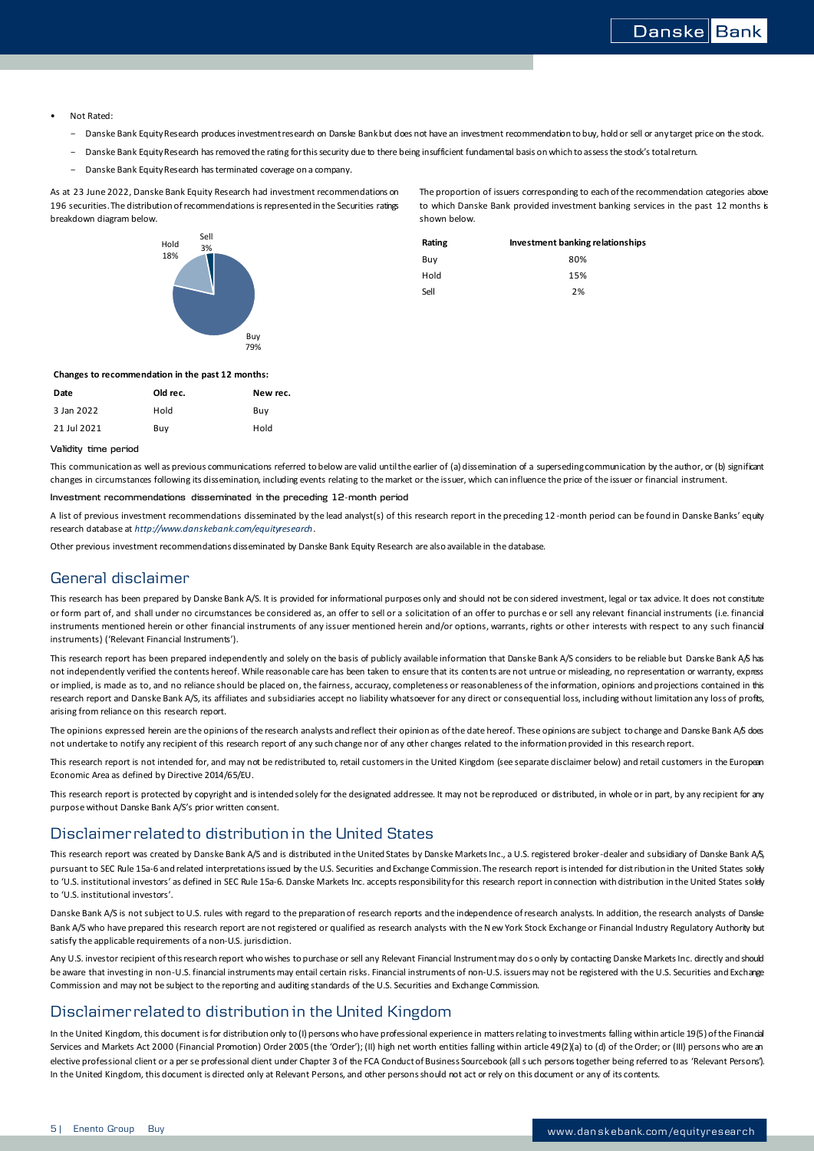- Not Rated:
	- Danske Bank Equity Research produces investment research on Danske Bank but does not have an investment recommendation to buy, hold or sell or any target price on the stock.
	- Danske Bank Equity Research has removed the rating for this security due to there being insufficient fundamental basis on which to assess the stock's total return.
	- Danske Bank Equity Research has terminated coverage on a company.

As at 23 June 2022, Danske Bank Equity Research had investment recommendations on 196 securities. The distribution of recommendations is represented in the Securities ratings breakdown diagram below.



The proportion of issuers corresponding to each of the recommendation categories above to which Danske Bank provided investment banking services in the past 12 months is shown below.

| ווסכ<br>3% | Rating | Investment banking relationships |
|------------|--------|----------------------------------|
|            | Buy    | 80%                              |
|            | Hold   | 15%                              |
| a.         | Sell   | 2%                               |
|            |        |                                  |

#### **Changes to recommendation in the past 12 months:**

| Date        | Old rec. | New rec. |
|-------------|----------|----------|
| 3 Jan 2022  | Hold     | Buv      |
| 21 Jul 2021 | Buv      | Hold     |

### **Validity time period**

This communication as well as previous communications referred to below are valid until the earlier of (a) dissemination of a superseding communication by the author, or (b) significant changes in circumstances following its dissemination, including events relating to the market or the issuer, which can influence the price of the issuer or financial instrument.

#### **Investment recommendations disseminated in the preceding 12-month period**

A list of previous investment recommendations disseminated by the lead analyst(s) of this research report in the preceding 12-month period can be found in Danske Banks' equity research database at *<http://www.danskebank.com/equityresearch>*.

Other previous investment recommendations disseminated by Danske Bank Equity Research are also available in the database.

## General disclaimer

This research has been prepared by Danske Bank A/S. It is provided for informational purposes only and should not be con sidered investment, legal or tax advice. It does not constitute or form part of, and shall under no circumstances be considered as, an offer to sell or a solicitation of an offer to purchas e or sell any relevant financial instruments (i.e. financial instruments mentioned herein or other financial instruments of any issuer mentioned herein and/or options, warrants, rights or other interests with respect to any such financial instruments) ('Relevant Financial Instruments').

This research report has been prepared independently and solely on the basis of publicly available information that Danske Bank A/S considers to be reliable but Danske Bank A/S has not independently verified the contents hereof. While reasonable care has been taken to ensure that its conten ts are not untrue or misleading, no representation or warranty, express or implied, is made as to, and no reliance should be placed on, the fairness, accuracy, completeness or reasonableness of the information, opinions and projections contained in this research report and Danske Bank A/S, its affiliates and subsidiaries accept no liability whatsoever for any direct or consequential loss, including without limitation any loss of profits, arising from reliance on this research report.

The opinions expressed herein are the opinions of the research analysts and reflect their opinion as of the date hereof. These opinions are subject to change and Danske Bank A/S does not undertake to notify any recipient of this research report of any such change nor of any other changes related to the information provided in this research report.

This research report is not intended for, and may not be redistributed to, retail customers in the United Kingdom (see separate disclaimer below) and retail customers in the European Economic Area as defined by Directive 2014/65/EU.

This research report is protected by copyright and is intended solely for the designated addressee. It may not be reproduced or distributed, in whole or in part, by any recipient for any purpose without Danske Bank A/S's prior written consent.

## Disclaimer related to distribution in the United States

This research report was created by Danske Bank A/S and is distributed in the United States by Danske Markets Inc., a U.S. registered broker-dealer and subsidiary of Danske Bank A/S, pursuant to SEC Rule 15a-6 and related interpretations issued by the U.S. Securities and Exchange Commission. The research report is intended for distribution in the United States solely to 'U.S. institutional investors' as defined in SEC Rule 15a-6. Danske Markets Inc. accepts responsibility for this research report in connection with distribution in the United States solely to 'U.S. institutional investors'.

Danske Bank A/S is not subject to U.S. rules with regard to the preparation of research reports and the independence of research analysts. In addition, the research analysts of Danske Bank A/S who have prepared this research report are not registered or qualified as research analysts with the New York Stock Exchange or Financial Industry Regulatory Authority but satisfy the applicable requirements of a non-U.S. jurisdiction.

Any U.S. investor recipient of this research report who wishes to purchase or sell any Relevant Financial Instrument may do so only by contacting Danske Markets Inc. directly and should be aware that investing in non-U.S. financial instruments may entail certain risks. Financial instruments of non-U.S. issuers may not be registered with the U.S. Securities and Exchange Commission and may not be subject to the reporting and auditing standards of the U.S. Securities and Exchange Commission.

## Disclaimer related to distribution in the United Kingdom

In the United Kingdom, this document is for distribution only to (I) persons who have professional experience in matters relating to investments falling within article 19(5) of the Financial Services and Markets Act 2000 (Financial Promotion) Order 2005 (the 'Order'); (II) high net worth entities falling within article 49(2)(a) to (d) of the Order; or (III) persons who are an elective professional client or a per se professional dient under Chapter 3 of the FCA Conduct of Business Sourcebook (all s uch persons together being referred to as 'Relevant Persons'). In the United Kingdom, this document is directed only at Relevant Persons, and other persons should not act or rely on this document or any of its contents.